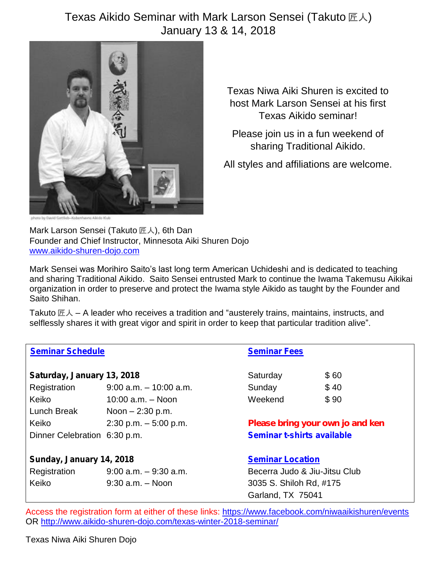## Texas Aikido Seminar with Mark Larson Sensei (Takuto 匠人) January 13 & 14, 2018



Texas Niwa Aiki Shuren is excited to host Mark Larson Sensei at his first Texas Aikido seminar!

Please join us in a fun weekend of sharing Traditional Aikido.

All styles and affiliations are welcome.

Mark Larson Sensei (Takuto 匠人), 6th Dan Founder and Chief Instructor, Minnesota Aiki Shuren Dojo [www.aikido-shuren-dojo.com](http://www.aikido-shuren-dojo.com/)

Mark Sensei was Morihiro Saito's last long term American Uchideshi and is dedicated to teaching and sharing Traditional Aikido. Saito Sensei entrusted Mark to continue the Iwama Takemusu Aikikai organization in order to preserve and protect the Iwama style Aikido as taught by the Founder and Saito Shihan.

Takuto 匠人 – A leader who receives a tradition and "austerely trains, maintains, instructs, and selflessly shares it with great vigor and spirit in order to keep that particular tradition alive".

| Seminar Schedule             |                           | <b>Seminar Fees</b>              |                               |  |
|------------------------------|---------------------------|----------------------------------|-------------------------------|--|
| Saturday, January 13, 2018   |                           | Saturday                         | \$60                          |  |
| Registration                 | $9:00$ a.m. $-10:00$ a.m. | Sunday                           | \$40                          |  |
| Keiko                        | 10:00 $a.m. - Noon$       | Weekend                          | \$90                          |  |
| Lunch Break                  | Noon $- 2:30$ p.m.        |                                  |                               |  |
| Keiko                        | $2:30$ p.m. $-5:00$ p.m.  | Please bring your own jo and ken |                               |  |
| Dinner Celebration 6:30 p.m. |                           |                                  | Seminar t-shirts available    |  |
| Sunday, January 14, 2018     |                           | <b>Seminar Location</b>          |                               |  |
| Registration                 | $9:00$ a.m. $-9:30$ a.m.  |                                  | Becerra Judo & Jiu-Jitsu Club |  |
| Keiko                        | $9:30$ a.m. $-$ Noon      |                                  | 3035 S. Shiloh Rd, #175       |  |
|                              |                           | Garland, TX 75041                |                               |  |

Access the registration form at either of these links:<https://www.facebook.com/niwaaikishuren/events> OR<http://www.aikido-shuren-dojo.com/texas-winter-2018-seminar/>